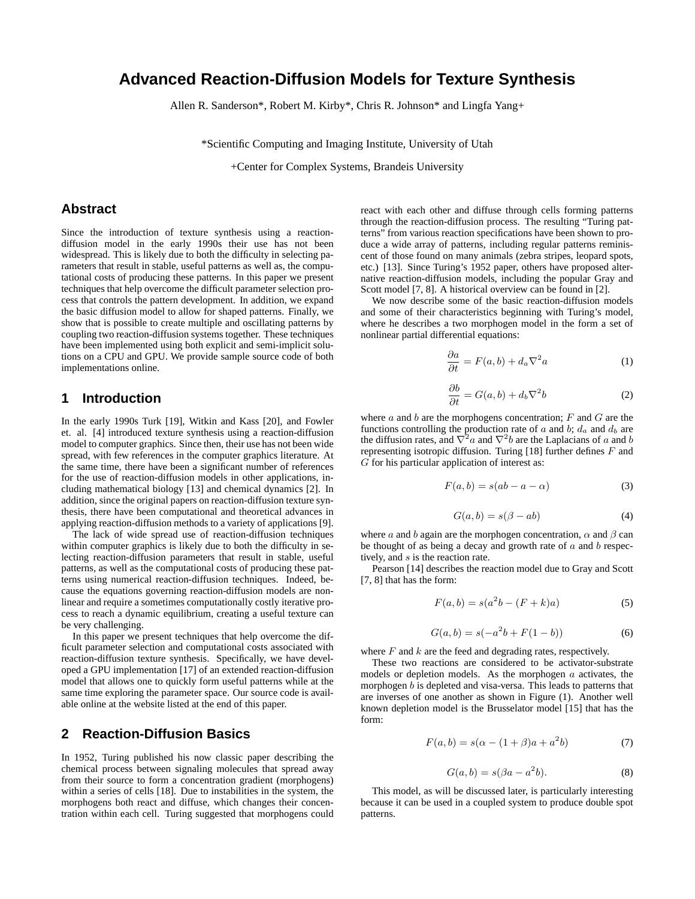# **Advanced Reaction-Diffusion Models for Texture Synthesis**

Allen R. Sanderson\*, Robert M. Kirby\*, Chris R. Johnson\* and Lingfa Yang+

\*Scientific Computing and Imaging Institute, University of Utah

+Center for Complex Systems, Brandeis University

## **Abstract**

Since the introduction of texture synthesis using a reactiondiffusion model in the early 1990s their use has not been widespread. This is likely due to both the difficulty in selecting parameters that result in stable, useful patterns as well as, the computational costs of producing these patterns. In this paper we present techniques that help overcome the difficult parameter selection process that controls the pattern development. In addition, we expand the basic diffusion model to allow for shaped patterns. Finally, we show that is possible to create multiple and oscillating patterns by coupling two reaction-diffusion systems together. These techniques have been implemented using both explicit and semi-implicit solutions on a CPU and GPU. We provide sample source code of both implementations online.

### **1 Introduction**

In the early 1990s Turk [19], Witkin and Kass [20], and Fowler et. al. [4] introduced texture synthesis using a reaction-diffusion model to computer graphics. Since then, their use has not been wide spread, with few references in the computer graphics literature. At the same time, there have been a significant number of references for the use of reaction-diffusion models in other applications, including mathematical biology [13] and chemical dynamics [2]. In addition, since the original papers on reaction-diffusion texture synthesis, there have been computational and theoretical advances in applying reaction-diffusion methods to a variety of applications [9].

The lack of wide spread use of reaction-diffusion techniques within computer graphics is likely due to both the difficulty in selecting reaction-diffusion parameters that result in stable, useful patterns, as well as the computational costs of producing these patterns using numerical reaction-diffusion techniques. Indeed, because the equations governing reaction-diffusion models are nonlinear and require a sometimes computationally costly iterative process to reach a dynamic equilibrium, creating a useful texture can be very challenging.

In this paper we present techniques that help overcome the difficult parameter selection and computational costs associated with reaction-diffusion texture synthesis. Specifically, we have developed a GPU implementation [17] of an extended reaction-diffusion model that allows one to quickly form useful patterns while at the same time exploring the parameter space. Our source code is available online at the website listed at the end of this paper.

## **2 Reaction-Diffusion Basics**

In 1952, Turing published his now classic paper describing the chemical process between signaling molecules that spread away from their source to form a concentration gradient (morphogens) within a series of cells [18]. Due to instabilities in the system, the morphogens both react and diffuse, which changes their concentration within each cell. Turing suggested that morphogens could react with each other and diffuse through cells forming patterns through the reaction-diffusion process. The resulting "Turing patterns" from various reaction specifications have been shown to produce a wide array of patterns, including regular patterns reminiscent of those found on many animals (zebra stripes, leopard spots, etc.) [13]. Since Turing's 1952 paper, others have proposed alternative reaction-diffusion models, including the popular Gray and Scott model [7, 8]. A historical overview can be found in [2].

We now describe some of the basic reaction-diffusion models and some of their characteristics beginning with Turing's model, where he describes a two morphogen model in the form a set of nonlinear partial differential equations:

$$
\frac{\partial a}{\partial t} = F(a, b) + d_a \nabla^2 a \tag{1}
$$

$$
\frac{\partial b}{\partial t} = G(a, b) + d_b \nabla^2 b \tag{2}
$$

where  $a$  and  $b$  are the morphogens concentration;  $F$  and  $G$  are the functions controlling the production rate of a and b;  $d_a$  and  $d_b$  are the diffusion rates, and  $\nabla^2 a$  and  $\nabla^2 b$  are the Laplacians of a and b representing isotropic diffusion. Turing [18] further defines  $F$  and  $G$  for his particular application of interest as:

$$
F(a,b) = s(ab - a - \alpha)
$$
 (3)

$$
G(a,b) = s(\beta - ab)
$$
 (4)

where a and b again are the morphogen concentration,  $\alpha$  and  $\beta$  can be thought of as being a decay and growth rate of  $a$  and  $b$  respectively, and s is the reaction rate.

Pearson [14] describes the reaction model due to Gray and Scott [7, 8] that has the form:

$$
F(a, b) = s(a2b - (F + k)a)
$$
 (5)

$$
G(a, b) = s(-a2b + F(1 - b))
$$
 (6)

where  $F$  and  $k$  are the feed and degrading rates, respectively.

These two reactions are considered to be activator-substrate models or depletion models. As the morphogen  $a$  activates, the morphogen b is depleted and visa-versa. This leads to patterns that are inverses of one another as shown in Figure (1). Another well known depletion model is the Brusselator model [15] that has the form:

$$
F(a, b) = s(\alpha - (1 + \beta)a + a^2b)
$$
 (7)

$$
G(a,b) = s(\beta a - a^2b). \tag{8}
$$

This model, as will be discussed later, is particularly interesting because it can be used in a coupled system to produce double spot patterns.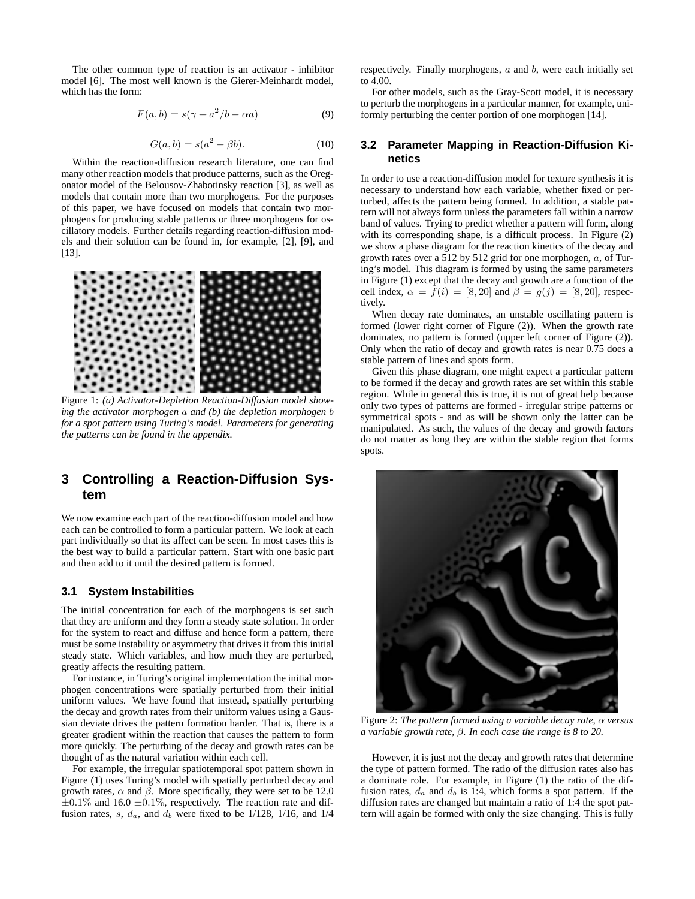The other common type of reaction is an activator - inhibitor model [6]. The most well known is the Gierer-Meinhardt model, which has the form:

$$
F(a,b) = s(\gamma + a^2/b - \alpha a)
$$
 (9)

$$
G(a,b) = s(a^2 - \beta b). \tag{10}
$$

Within the reaction-diffusion research literature, one can find many other reaction models that produce patterns, such as the Oregonator model of the Belousov-Zhabotinsky reaction [3], as well as models that contain more than two morphogens. For the purposes of this paper, we have focused on models that contain two morphogens for producing stable patterns or three morphogens for oscillatory models. Further details regarding reaction-diffusion models and their solution can be found in, for example, [2], [9], and [13].



Figure 1: *(a) Activator-Depletion Reaction-Diffusion model showing the activator morphogen* a *and (b) the depletion morphogen* b *for a spot pattern using Turing's model. Parameters for generating the patterns can be found in the appendix.*

## **3 Controlling a Reaction-Diffusion System**

We now examine each part of the reaction-diffusion model and how each can be controlled to form a particular pattern. We look at each part individually so that its affect can be seen. In most cases this is the best way to build a particular pattern. Start with one basic part and then add to it until the desired pattern is formed.

#### **3.1 System Instabilities**

The initial concentration for each of the morphogens is set such that they are uniform and they form a steady state solution. In order for the system to react and diffuse and hence form a pattern, there must be some instability or asymmetry that drives it from this initial steady state. Which variables, and how much they are perturbed, greatly affects the resulting pattern.

For instance, in Turing's original implementation the initial morphogen concentrations were spatially perturbed from their initial uniform values. We have found that instead, spatially perturbing the decay and growth rates from their uniform values using a Gaussian deviate drives the pattern formation harder. That is, there is a greater gradient within the reaction that causes the pattern to form more quickly. The perturbing of the decay and growth rates can be thought of as the natural variation within each cell.

For example, the irregular spatiotemporal spot pattern shown in Figure (1) uses Turing's model with spatially perturbed decay and growth rates,  $\alpha$  and  $\beta$ . More specifically, they were set to be 12.0  $\pm 0.1\%$  and 16.0  $\pm 0.1\%$ , respectively. The reaction rate and diffusion rates, s,  $d_a$ , and  $d_b$  were fixed to be 1/128, 1/16, and 1/4 respectively. Finally morphogens,  $a$  and  $b$ , were each initially set to 4.00.

For other models, such as the Gray-Scott model, it is necessary to perturb the morphogens in a particular manner, for example, uniformly perturbing the center portion of one morphogen [14].

### **3.2 Parameter Mapping in Reaction-Diffusion Kinetics**

In order to use a reaction-diffusion model for texture synthesis it is necessary to understand how each variable, whether fixed or perturbed, affects the pattern being formed. In addition, a stable pattern will not always form unless the parameters fall within a narrow band of values. Trying to predict whether a pattern will form, along with its corresponding shape, is a difficult process. In Figure (2) we show a phase diagram for the reaction kinetics of the decay and growth rates over a 512 by 512 grid for one morphogen,  $a$ , of Turing's model. This diagram is formed by using the same parameters in Figure (1) except that the decay and growth are a function of the cell index,  $\alpha = f(i) = [8, 20]$  and  $\beta = g(j) = [8, 20]$ , respectively.

When decay rate dominates, an unstable oscillating pattern is formed (lower right corner of Figure (2)). When the growth rate dominates, no pattern is formed (upper left corner of Figure (2)). Only when the ratio of decay and growth rates is near 0.75 does a stable pattern of lines and spots form.

Given this phase diagram, one might expect a particular pattern to be formed if the decay and growth rates are set within this stable region. While in general this is true, it is not of great help because only two types of patterns are formed - irregular stripe patterns or symmetrical spots - and as will be shown only the latter can be manipulated. As such, the values of the decay and growth factors do not matter as long they are within the stable region that forms spots.



Figure 2: *The pattern formed using a variable decay rate,* α *versus a variable growth rate,* β*. In each case the range is 8 to 20.*

However, it is just not the decay and growth rates that determine the type of pattern formed. The ratio of the diffusion rates also has a dominate role. For example, in Figure (1) the ratio of the diffusion rates,  $d_a$  and  $d_b$  is 1:4, which forms a spot pattern. If the diffusion rates are changed but maintain a ratio of 1:4 the spot pattern will again be formed with only the size changing. This is fully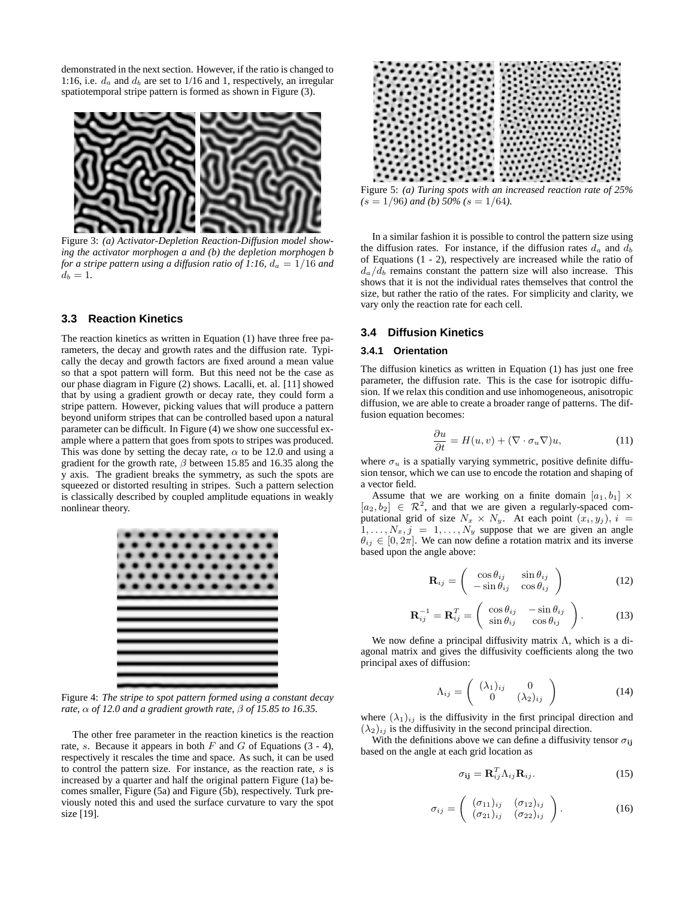demonstrated in the next section. However, if the ratio is changed to 1:16, i.e.  $d_a$  and  $d_b$  are set to 1/16 and 1, respectively, an irregular spatiotemporal stripe pattern is formed as shown in Figure (3).



Figure 3: *(a) Activator-Depletion Reaction-Diffusion model showing the activator morphogen a and (b) the depletion morphogen b for a stripe pattern using a diffusion ratio of 1:16,*  $d_a = 1/16$  *and*  $d_b = 1.$ 

### **3.3 Reaction Kinetics**

The reaction kinetics as written in Equation (1) have three free parameters, the decay and growth rates and the diffusion rate. Typically the decay and growth factors are fixed around a mean value so that a spot pattern will form. But this need not be the case as our phase diagram in Figure (2) shows. Lacalli, et. al. [11] showed that by using a gradient growth or decay rate, they could form a stripe pattern. However, picking values that will produce a pattern beyond uniform stripes that can be controlled based upon a natural parameter can be difficult. In Figure (4) we show one successful example where a pattern that goes from spots to stripes was produced. This was done by setting the decay rate,  $\alpha$  to be 12.0 and using a gradient for the growth rate,  $\beta$  between 15.85 and 16.35 along the y axis. The gradient breaks the symmetry, as such the spots are squeezed or distorted resulting in stripes. Such a pattern selection is classically described by coupled amplitude equations in weakly nonlinear theory.



Figure 4: *The stripe to spot pattern formed using a constant decay rate,* α *of 12.0 and a gradient growth rate,* β *of 15.85 to 16.35.*

The other free parameter in the reaction kinetics is the reaction rate, s. Because it appears in both  $F$  and  $G$  of Equations (3 - 4), respectively it rescales the time and space. As such, it can be used to control the pattern size. For instance, as the reaction rate, s is increased by a quarter and half the original pattern Figure (1a) becomes smaller, Figure (5a) and Figure (5b), respectively. Turk previously noted this and used the surface curvature to vary the spot size [19].



Figure 5: *(a) Turing spots with an increased reaction rate of 25%*  $(s = 1/96)$  and (b)  $50\%$  (s = 1/64).

In a similar fashion it is possible to control the pattern size using the diffusion rates. For instance, if the diffusion rates  $d_a$  and  $d_b$ of Equations (1 - 2), respectively are increased while the ratio of  $d_a/d_b$  remains constant the pattern size will also increase. This shows that it is not the individual rates themselves that control the size, but rather the ratio of the rates. For simplicity and clarity, we vary only the reaction rate for each cell.

#### **3.4 Diffusion Kinetics**

#### **3.4.1 Orientation**

The diffusion kinetics as written in Equation (1) has just one free parameter, the diffusion rate. This is the case for isotropic diffusion. If we relax this condition and use inhomogeneous, anisotropic diffusion, we are able to create a broader range of patterns. The diffusion equation becomes:

$$
\frac{\partial u}{\partial t} = H(u, v) + (\nabla \cdot \sigma_u \nabla) u,\tag{11}
$$

where  $\sigma_u$  is a spatially varying symmetric, positive definite diffusion tensor, which we can use to encode the rotation and shaping of a vector field.

Assume that we are working on a finite domain  $[a_1, b_1] \times$  $[a_2, b_2] \in \mathbb{R}^2$ , and that we are given a regularly-spaced computational grid of size  $N_x \times N_y$ . At each point  $(x_i, y_j)$ ,  $i =$  $1, \ldots, N_x, j = 1, \ldots, N_y$  suppose that we are given an angle  $\theta_{ij} \in [0, 2\pi]$ . We can now define a rotation matrix and its inverse based upon the angle above:

$$
\mathbf{R}_{ij} = \begin{pmatrix} \cos \theta_{ij} & \sin \theta_{ij} \\ -\sin \theta_{ij} & \cos \theta_{ij} \end{pmatrix}
$$
 (12)

$$
\mathbf{R}_{ij}^{-1} = \mathbf{R}_{ij}^T = \begin{pmatrix} \cos \theta_{ij} & -\sin \theta_{ij} \\ \sin \theta_{ij} & \cos \theta_{ij} \end{pmatrix}.
$$
 (13)

We now define a principal diffusivity matrix  $\Lambda$ , which is a diagonal matrix and gives the diffusivity coefficients along the two principal axes of diffusion:

$$
\Lambda_{ij} = \begin{pmatrix} (\lambda_1)_{ij} & 0 \\ 0 & (\lambda_2)_{ij} \end{pmatrix}
$$
 (14)

where  $(\lambda_1)_{ij}$  is the diffusivity in the first principal direction and  $(\lambda_2)_{ij}$  is the diffusivity in the second principal direction.

With the definitions above we can define a diffusivity tensor  $\sigma_{ij}$ based on the angle at each grid location as

$$
\sigma_{ij} = \mathbf{R}_{ij}^T \Lambda_{ij} \mathbf{R}_{ij}.
$$
 (15)

$$
\sigma_{ij} = \left( \begin{array}{cc} (\sigma_{11})_{ij} & (\sigma_{12})_{ij} \\ (\sigma_{21})_{ij} & (\sigma_{22})_{ij} \end{array} \right). \tag{16}
$$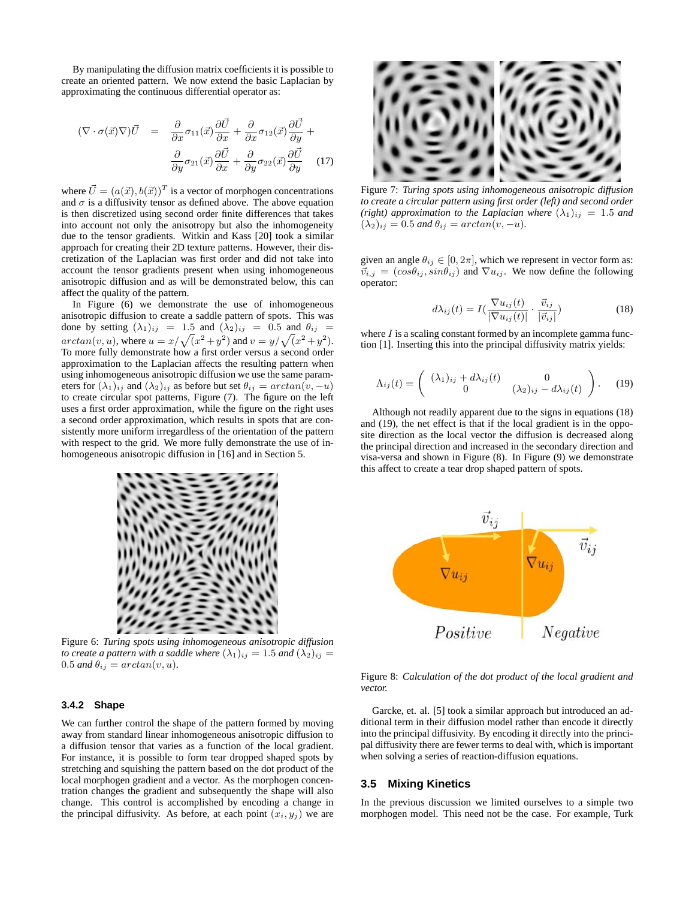By manipulating the diffusion matrix coefficients it is possible to create an oriented pattern. We now extend the basic Laplacian by approximating the continuous differential operator as:

$$
(\nabla \cdot \sigma(\vec{x}) \nabla) \vec{U} = \frac{\partial}{\partial x} \sigma_{11}(\vec{x}) \frac{\partial \vec{U}}{\partial x} + \frac{\partial}{\partial x} \sigma_{12}(\vec{x}) \frac{\partial \vec{U}}{\partial y} + \frac{\partial}{\partial y} \sigma_{21}(\vec{x}) \frac{\partial \vec{U}}{\partial x} + \frac{\partial}{\partial y} \sigma_{22}(\vec{x}) \frac{\partial \vec{U}}{\partial y}
$$
(17)

where  $\vec{U} = (a(\vec{x}), b(\vec{x}))^T$  is a vector of morphogen concentrations and  $\sigma$  is a diffusivity tensor as defined above. The above equation is then discretized using second order finite differences that takes into account not only the anisotropy but also the inhomogeneity due to the tensor gradients. Witkin and Kass [20] took a similar approach for creating their 2D texture patterns. However, their discretization of the Laplacian was first order and did not take into account the tensor gradients present when using inhomogeneous anisotropic diffusion and as will be demonstrated below, this can affect the quality of the pattern.

In Figure (6) we demonstrate the use of inhomogeneous anisotropic diffusion to create a saddle pattern of spots. This was done by setting  $(\lambda_1)_{ij}$  = 1.5 and  $(\lambda_2)_{ij}$  = 0.5 and  $\theta_{ij}$  =  $arctan(v, u)$ , where  $u = x/\sqrt{(x^2 + y^2)}$  and  $v = y/\sqrt{(x^2 + y^2)}$ . To more fully demonstrate how a first order versus a second order approximation to the Laplacian affects the resulting pattern when using inhomogeneous anisotropic diffusion we use the same parameters for  $(\lambda_1)_{ij}$  and  $(\lambda_2)_{ij}$  as before but set  $\theta_{ij} = \arctan(v, -u)$ to create circular spot patterns, Figure (7). The figure on the left uses a first order approximation, while the figure on the right uses a second order approximation, which results in spots that are consistently more uniform irregardless of the orientation of the pattern with respect to the grid. We more fully demonstrate the use of inhomogeneous anisotropic diffusion in [16] and in Section 5.



Figure 6: *Turing spots using inhomogeneous anisotropic diffusion to create a pattern with a saddle where*  $(\lambda_1)_{ij} = 1.5$  *and*  $(\lambda_2)_{ij} =$ 0.5 *and*  $\theta_{ij} = \arctan(v, u)$ .

#### **3.4.2 Shape**

We can further control the shape of the pattern formed by moving away from standard linear inhomogeneous anisotropic diffusion to a diffusion tensor that varies as a function of the local gradient. For instance, it is possible to form tear dropped shaped spots by stretching and squishing the pattern based on the dot product of the local morphogen gradient and a vector. As the morphogen concentration changes the gradient and subsequently the shape will also change. This control is accomplished by encoding a change in the principal diffusivity. As before, at each point  $(x_i, y_j)$  we are



Figure 7: *Turing spots using inhomogeneous anisotropic diffusion to create a circular pattern using first order (left) and second order (right) approximation to the Laplacian where*  $(\lambda_1)_{ij} = 1.5$  *and*  $(\lambda_2)_{ij} = 0.5$  *and*  $\theta_{ij} = \arctan(v, -u)$ *.* 

given an angle  $\theta_{ij} \in [0, 2\pi]$ , which we represent in vector form as:  $\vec{v}_{i,j} = (cos\theta_{ij}, sin\theta_{ij})$  and  $\nabla u_{ij}$ . We now define the following operator:

$$
d\lambda_{ij}(t) = I(\frac{\nabla u_{ij}(t)}{|\nabla u_{ij}(t)|} \cdot \frac{\vec{v}_{ij}}{|\vec{v}_{ij}|})
$$
(18)

where  $I$  is a scaling constant formed by an incomplete gamma function [1]. Inserting this into the principal diffusivity matrix yields:

$$
\Lambda_{ij}(t) = \begin{pmatrix} (\lambda_1)_{ij} + d\lambda_{ij}(t) & 0\\ 0 & (\lambda_2)_{ij} - d\lambda_{ij}(t) \end{pmatrix}.
$$
 (19)

Although not readily apparent due to the signs in equations (18) and (19), the net effect is that if the local gradient is in the opposite direction as the local vector the diffusion is decreased along the principal direction and increased in the secondary direction and visa-versa and shown in Figure (8). In Figure (9) we demonstrate this affect to create a tear drop shaped pattern of spots.



Figure 8: *Calculation of the dot product of the local gradient and vector.*

Garcke, et. al. [5] took a similar approach but introduced an additional term in their diffusion model rather than encode it directly into the principal diffusivity. By encoding it directly into the principal diffusivity there are fewer terms to deal with, which is important when solving a series of reaction-diffusion equations.

#### **3.5 Mixing Kinetics**

In the previous discussion we limited ourselves to a simple two morphogen model. This need not be the case. For example, Turk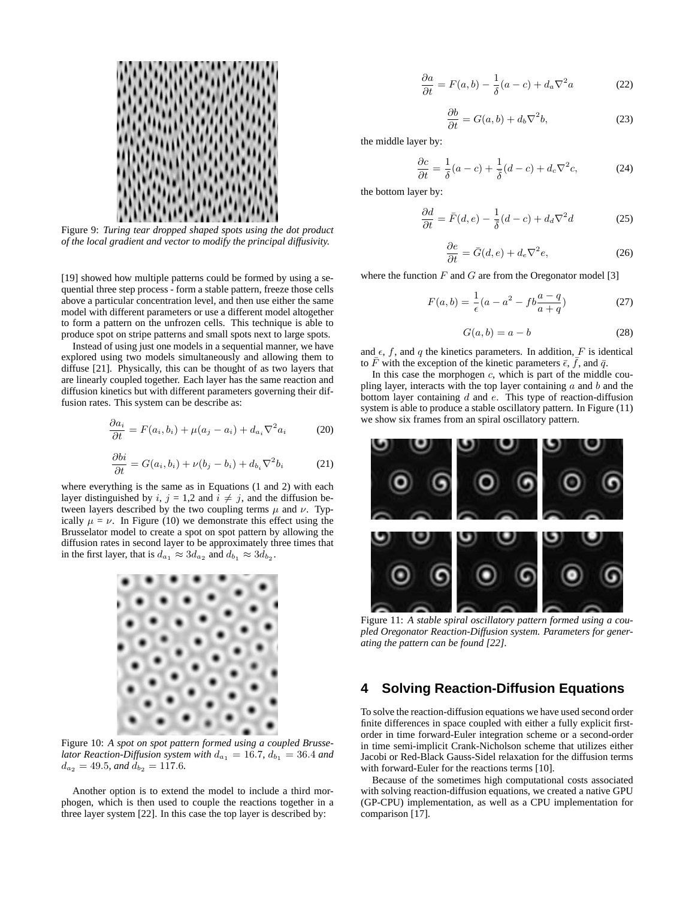

Figure 9: *Turing tear dropped shaped spots using the dot product of the local gradient and vector to modify the principal diffusivity.*

[19] showed how multiple patterns could be formed by using a sequential three step process - form a stable pattern, freeze those cells above a particular concentration level, and then use either the same model with different parameters or use a different model altogether to form a pattern on the unfrozen cells. This technique is able to produce spot on stripe patterns and small spots next to large spots.

Instead of using just one models in a sequential manner, we have explored using two models simultaneously and allowing them to diffuse [21]. Physically, this can be thought of as two layers that are linearly coupled together. Each layer has the same reaction and diffusion kinetics but with different parameters governing their diffusion rates. This system can be describe as:

$$
\frac{\partial a_i}{\partial t} = F(a_i, b_i) + \mu(a_j - a_i) + d_{a_i} \nabla^2 a_i \tag{20}
$$

$$
\frac{\partial bi}{\partial t} = G(a_i, b_i) + \nu(b_j - b_i) + d_{b_i} \nabla^2 b_i \tag{21}
$$

where everything is the same as in Equations (1 and 2) with each layer distinguished by i,  $j = 1,2$  and  $i \neq j$ , and the diffusion between layers described by the two coupling terms  $\mu$  and  $\nu$ . Typically  $\mu = \nu$ . In Figure (10) we demonstrate this effect using the Brusselator model to create a spot on spot pattern by allowing the diffusion rates in second layer to be approximately three times that in the first layer, that is  $d_{a_1} \approx 3d_{a_2}$  and  $d_{b_1} \approx 3d_{b_2}$ .



Figure 10: *A spot on spot pattern formed using a coupled Brusselator Reaction-Diffusion system with*  $d_{a_1} = 16.7$ ,  $d_{b_1} = 36.4$  *and*  $d_{a_2} = 49.5$ *, and*  $d_{b_2} = 117.6$ *.* 

Another option is to extend the model to include a third morphogen, which is then used to couple the reactions together in a three layer system [22]. In this case the top layer is described by:

$$
\frac{\partial a}{\partial t} = F(a, b) - \frac{1}{\delta}(a - c) + d_a \nabla^2 a \tag{22}
$$

$$
\frac{\partial b}{\partial t} = G(a, b) + d_b \nabla^2 b,\tag{23}
$$

the middle layer by:

$$
\frac{\partial c}{\partial t} = \frac{1}{\delta}(a-c) + \frac{1}{\overline{\delta}}(d-c) + d_c \nabla^2 c,\tag{24}
$$

the bottom layer by:

$$
\frac{\partial d}{\partial t} = \bar{F}(d, e) - \frac{1}{\bar{\delta}}(d - c) + d_d \nabla^2 d \tag{25}
$$

$$
\frac{\partial e}{\partial t} = \bar{G}(d, e) + d_e \nabla^2 e,\tag{26}
$$

where the function  $F$  and  $G$  are from the Oregonator model [3]

$$
F(a, b) = \frac{1}{\epsilon}(a - a^2 - fb\frac{a - q}{a + q})
$$
 (27)

$$
G(a,b) = a - b \tag{28}
$$

and  $\epsilon$ ,  $f$ , and  $q$  the kinetics parameters. In addition,  $F$  is identical to  $\bar{F}$  with the exception of the kinetic parameters  $\bar{\epsilon}$ ,  $\bar{f}$ , and  $\bar{q}$ .

In this case the morphogen  $c$ , which is part of the middle coupling layer, interacts with the top layer containing  $a$  and  $b$  and the bottom layer containing  $d$  and  $e$ . This type of reaction-diffusion system is able to produce a stable oscillatory pattern. In Figure (11) we show six frames from an spiral oscillatory pattern.



Figure 11: *A stable spiral oscillatory pattern formed using a coupled Oregonator Reaction-Diffusion system. Parameters for generating the pattern can be found [22].*

## **4 Solving Reaction-Diffusion Equations**

To solve the reaction-diffusion equations we have used second order finite differences in space coupled with either a fully explicit firstorder in time forward-Euler integration scheme or a second-order in time semi-implicit Crank-Nicholson scheme that utilizes either Jacobi or Red-Black Gauss-Sidel relaxation for the diffusion terms with forward-Euler for the reactions terms [10].

Because of the sometimes high computational costs associated with solving reaction-diffusion equations, we created a native GPU (GP-CPU) implementation, as well as a CPU implementation for comparison [17].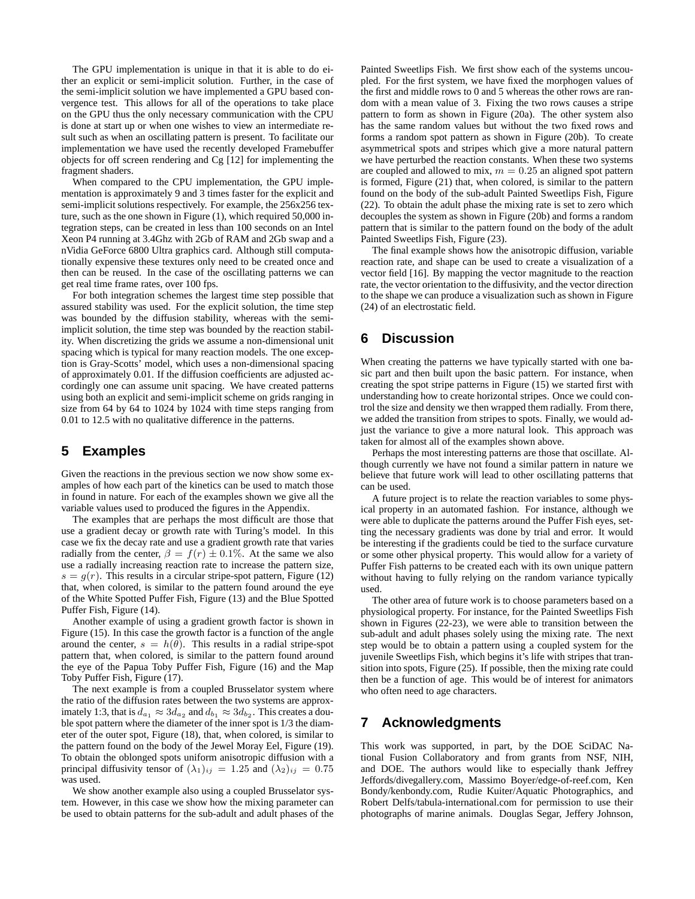The GPU implementation is unique in that it is able to do either an explicit or semi-implicit solution. Further, in the case of the semi-implicit solution we have implemented a GPU based convergence test. This allows for all of the operations to take place on the GPU thus the only necessary communication with the CPU is done at start up or when one wishes to view an intermediate result such as when an oscillating pattern is present. To facilitate our implementation we have used the recently developed Framebuffer objects for off screen rendering and Cg [12] for implementing the fragment shaders.

When compared to the CPU implementation, the GPU implementation is approximately 9 and 3 times faster for the explicit and semi-implicit solutions respectively. For example, the 256x256 texture, such as the one shown in Figure (1), which required 50,000 integration steps, can be created in less than 100 seconds on an Intel Xeon P4 running at 3.4Ghz with 2Gb of RAM and 2Gb swap and a nVidia GeForce 6800 Ultra graphics card. Although still computationally expensive these textures only need to be created once and then can be reused. In the case of the oscillating patterns we can get real time frame rates, over 100 fps.

For both integration schemes the largest time step possible that assured stability was used. For the explicit solution, the time step was bounded by the diffusion stability, whereas with the semiimplicit solution, the time step was bounded by the reaction stability. When discretizing the grids we assume a non-dimensional unit spacing which is typical for many reaction models. The one exception is Gray-Scotts' model, which uses a non-dimensional spacing of approximately 0.01. If the diffusion coefficients are adjusted accordingly one can assume unit spacing. We have created patterns using both an explicit and semi-implicit scheme on grids ranging in size from 64 by 64 to 1024 by 1024 with time steps ranging from 0.01 to 12.5 with no qualitative difference in the patterns.

## **5 Examples**

Given the reactions in the previous section we now show some examples of how each part of the kinetics can be used to match those in found in nature. For each of the examples shown we give all the variable values used to produced the figures in the Appendix.

The examples that are perhaps the most difficult are those that use a gradient decay or growth rate with Turing's model. In this case we fix the decay rate and use a gradient growth rate that varies radially from the center,  $\beta = f(r) \pm 0.1\%$ . At the same we also use a radially increasing reaction rate to increase the pattern size,  $s = g(r)$ . This results in a circular stripe-spot pattern, Figure (12) that, when colored, is similar to the pattern found around the eye of the White Spotted Puffer Fish, Figure (13) and the Blue Spotted Puffer Fish, Figure (14).

Another example of using a gradient growth factor is shown in Figure (15). In this case the growth factor is a function of the angle around the center,  $s = h(\theta)$ . This results in a radial stripe-spot pattern that, when colored, is similar to the pattern found around the eye of the Papua Toby Puffer Fish, Figure (16) and the Map Toby Puffer Fish, Figure (17).

The next example is from a coupled Brusselator system where the ratio of the diffusion rates between the two systems are approximately 1:3, that is  $d_{a_1} \approx 3d_{a_2}$  and  $d_{b_1} \approx 3d_{b_2}$ . This creates a double spot pattern where the diameter of the inner spot is 1/3 the diameter of the outer spot, Figure (18), that, when colored, is similar to the pattern found on the body of the Jewel Moray Eel, Figure (19). To obtain the oblonged spots uniform anisotropic diffusion with a principal diffusivity tensor of  $(\lambda_1)_{ij} = 1.25$  and  $(\lambda_2)_{ij} = 0.75$ was used.

We show another example also using a coupled Brusselator system. However, in this case we show how the mixing parameter can be used to obtain patterns for the sub-adult and adult phases of the Painted Sweetlips Fish. We first show each of the systems uncoupled. For the first system, we have fixed the morphogen values of the first and middle rows to 0 and 5 whereas the other rows are random with a mean value of 3. Fixing the two rows causes a stripe pattern to form as shown in Figure (20a). The other system also has the same random values but without the two fixed rows and forms a random spot pattern as shown in Figure (20b). To create asymmetrical spots and stripes which give a more natural pattern we have perturbed the reaction constants. When these two systems are coupled and allowed to mix,  $m = 0.25$  an aligned spot pattern is formed, Figure (21) that, when colored, is similar to the pattern found on the body of the sub-adult Painted Sweetlips Fish, Figure (22). To obtain the adult phase the mixing rate is set to zero which decouples the system as shown in Figure (20b) and forms a random pattern that is similar to the pattern found on the body of the adult Painted Sweetlips Fish, Figure (23).

The final example shows how the anisotropic diffusion, variable reaction rate, and shape can be used to create a visualization of a vector field [16]. By mapping the vector magnitude to the reaction rate, the vector orientation to the diffusivity, and the vector direction to the shape we can produce a visualization such as shown in Figure (24) of an electrostatic field.

## **6 Discussion**

When creating the patterns we have typically started with one basic part and then built upon the basic pattern. For instance, when creating the spot stripe patterns in Figure (15) we started first with understanding how to create horizontal stripes. Once we could control the size and density we then wrapped them radially. From there, we added the transition from stripes to spots. Finally, we would adjust the variance to give a more natural look. This approach was taken for almost all of the examples shown above.

Perhaps the most interesting patterns are those that oscillate. Although currently we have not found a similar pattern in nature we believe that future work will lead to other oscillating patterns that can be used.

A future project is to relate the reaction variables to some physical property in an automated fashion. For instance, although we were able to duplicate the patterns around the Puffer Fish eyes, setting the necessary gradients was done by trial and error. It would be interesting if the gradients could be tied to the surface curvature or some other physical property. This would allow for a variety of Puffer Fish patterns to be created each with its own unique pattern without having to fully relying on the random variance typically used.

The other area of future work is to choose parameters based on a physiological property. For instance, for the Painted Sweetlips Fish shown in Figures (22-23), we were able to transition between the sub-adult and adult phases solely using the mixing rate. The next step would be to obtain a pattern using a coupled system for the juvenile Sweetlips Fish, which begins it's life with stripes that transition into spots, Figure (25). If possible, then the mixing rate could then be a function of age. This would be of interest for animators who often need to age characters.

## **7 Acknowledgments**

This work was supported, in part, by the DOE SciDAC National Fusion Collaboratory and from grants from NSF, NIH, and DOE. The authors would like to especially thank Jeffrey Jeffords/divegallery.com, Massimo Boyer/edge-of-reef.com, Ken Bondy/kenbondy.com, Rudie Kuiter/Aquatic Photographics, and Robert Delfs/tabula-international.com for permission to use their photographs of marine animals. Douglas Segar, Jeffery Johnson,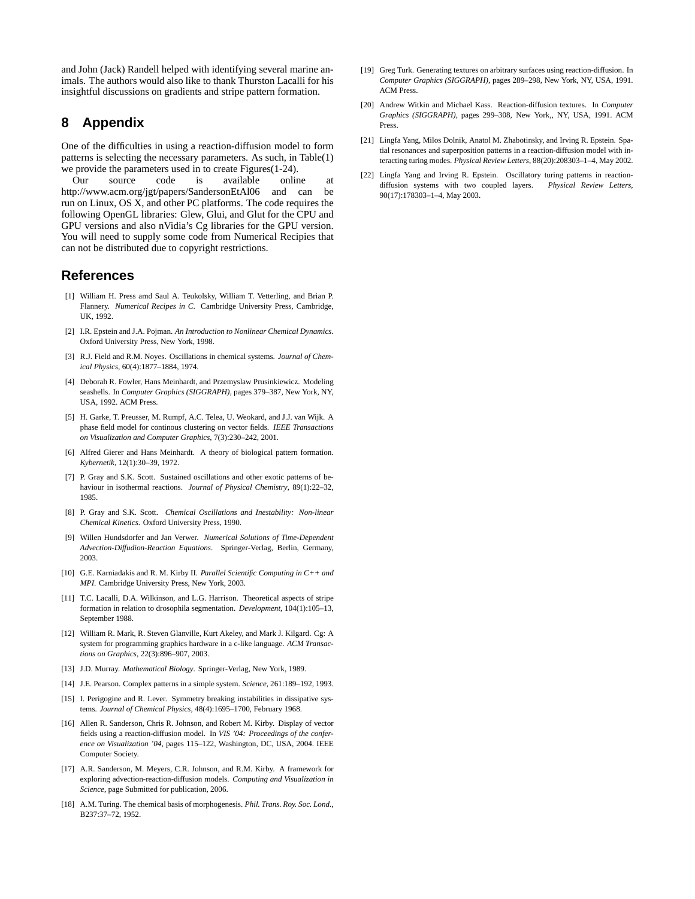and John (Jack) Randell helped with identifying several marine animals. The authors would also like to thank Thurston Lacalli for his insightful discussions on gradients and stripe pattern formation.

## **8 Appendix**

One of the difficulties in using a reaction-diffusion model to form patterns is selecting the necessary parameters. As such, in Table(1) we provide the parameters used in to create Figures(1-24).

Our source code is available online at http://www.acm.org/jgt/papers/SandersonEtAl06 and can be run on Linux, OS X, and other PC platforms. The code requires the following OpenGL libraries: Glew, Glui, and Glut for the CPU and GPU versions and also nVidia's Cg libraries for the GPU version. You will need to supply some code from Numerical Recipies that can not be distributed due to copyright restrictions.

## **References**

- [1] William H. Press amd Saul A. Teukolsky, William T. Vetterling, and Brian P. Flannery. *Numerical Recipes in C*. Cambridge University Press, Cambridge, UK, 1992.
- [2] I.R. Epstein and J.A. Pojman. *An Introduction to Nonlinear Chemical Dynamics*. Oxford University Press, New York, 1998.
- [3] R.J. Field and R.M. Noyes. Oscillations in chemical systems. *Journal of Chemical Physics*, 60(4):1877–1884, 1974.
- [4] Deborah R. Fowler, Hans Meinhardt, and Przemyslaw Prusinkiewicz. Modeling seashells. In *Computer Graphics (SIGGRAPH)*, pages 379–387, New York, NY, USA, 1992. ACM Press.
- [5] H. Garke, T. Preusser, M. Rumpf, A.C. Telea, U. Weokard, and J.J. van Wijk. A phase field model for continous clustering on vector fields. *IEEE Transactions on Visualization and Computer Graphics*, 7(3):230–242, 2001.
- [6] Alfred Gierer and Hans Meinhardt. A theory of biological pattern formation. *Kybernetik*, 12(1):30–39, 1972.
- [7] P. Gray and S.K. Scott. Sustained oscillations and other exotic patterns of behaviour in isothermal reactions. *Journal of Physical Chemistry*, 89(1):22–32, 1985.
- [8] P. Gray and S.K. Scott. *Chemical Oscillations and Inestability: Non-linear Chemical Kinetics*. Oxford University Press, 1990.
- [9] Willen Hundsdorfer and Jan Verwer. *Numerical Solutions of Time-Dependent Advection-Diffudion-Reaction Equations*. Springer-Verlag, Berlin, Germany, 2003.
- [10] G.E. Karniadakis and R. M. Kirby II. *Parallel Scientific Computing in C++ and MPI*. Cambridge University Press, New York, 2003.
- [11] T.C. Lacalli, D.A. Wilkinson, and L.G. Harrison. Theoretical aspects of stripe formation in relation to drosophila segmentation. *Development*, 104(1):105–13, September 1988.
- [12] William R. Mark, R. Steven Glanville, Kurt Akeley, and Mark J. Kilgard. Cg: A system for programming graphics hardware in a c-like language. *ACM Transactions on Graphics*, 22(3):896–907, 2003.
- [13] J.D. Murray. *Mathematical Biology*. Springer-Verlag, New York, 1989.
- [14] J.E. Pearson. Complex patterns in a simple system. *Science*, 261:189–192, 1993.
- [15] I. Perigogine and R. Lever. Symmetry breaking instabilities in dissipative systems. *Journal of Chemical Physics*, 48(4):1695–1700, February 1968.
- [16] Allen R. Sanderson, Chris R. Johnson, and Robert M. Kirby. Display of vector fields using a reaction-diffusion model. In *VIS '04: Proceedings of the conference on Visualization '04*, pages 115–122, Washington, DC, USA, 2004. IEEE Computer Society.
- [17] A.R. Sanderson, M. Meyers, C.R. Johnson, and R.M. Kirby. A framework for exploring advection-reaction-diffusion models. *Computing and Visualization in Science*, page Submitted for publication, 2006.
- [18] A.M. Turing. The chemical basis of morphogenesis. *Phil. Trans. Roy. Soc. Lond.*, B237:37–72, 1952.
- [19] Greg Turk. Generating textures on arbitrary surfaces using reaction-diffusion. In *Computer Graphics (SIGGRAPH)*, pages 289–298, New York, NY, USA, 1991. ACM Press.
- [20] Andrew Witkin and Michael Kass. Reaction-diffusion textures. In *Computer Graphics (SIGGRAPH)*, pages 299–308, New York,, NY, USA, 1991. ACM Press.
- [21] Lingfa Yang, Milos Dolnik, Anatol M. Zhabotinsky, and Irving R. Epstein. Spatial resonances and superposition patterns in a reaction-diffusion model with interacting turing modes. *Physical Review Letters*, 88(20):208303–1–4, May 2002.
- [22] Lingfa Yang and Irving R. Epstein. Oscillatory turing patterns in reactiondiffusion systems with two coupled layers. *Physical Review Letters*, 90(17):178303–1–4, May 2003.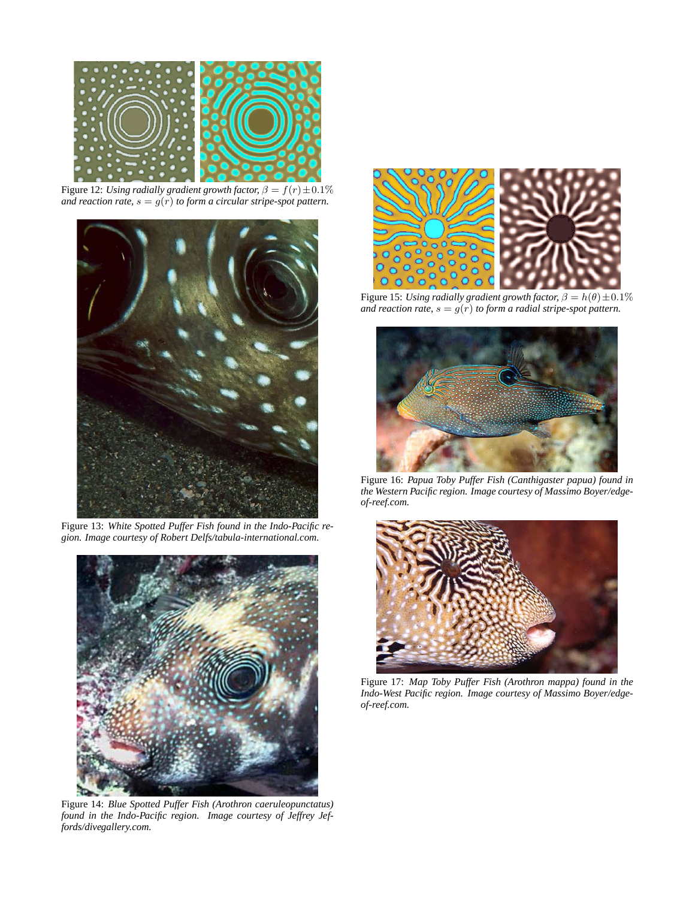

Figure 12: *Using radially gradient growth factor,*  $\beta = f(r) \pm 0.1\%$ *and reaction rate,*  $s = g(r)$  *to form a circular stripe-spot pattern.* 



Figure 13: *White Spotted Puffer Fish found in the Indo-Pacific region. Image courtesy of Robert Delfs/tabula-international.com.*



Figure 14: *Blue Spotted Puffer Fish (Arothron caeruleopunctatus) found in the Indo-Pacific region. Image courtesy of Jeffrey Jeffords/divegallery.com.*



Figure 15: *Using radially gradient growth factor,*  $\beta = h(\theta) \pm 0.1\%$ *and reaction rate,*  $s = g(r)$  *to form a radial stripe-spot pattern.* 



Figure 16: *Papua Toby Puffer Fish (Canthigaster papua) found in the Western Pacific region. Image courtesy of Massimo Boyer/edgeof-reef.com.*



Figure 17: *Map Toby Puffer Fish (Arothron mappa) found in the Indo-West Pacific region. Image courtesy of Massimo Boyer/edgeof-reef.com.*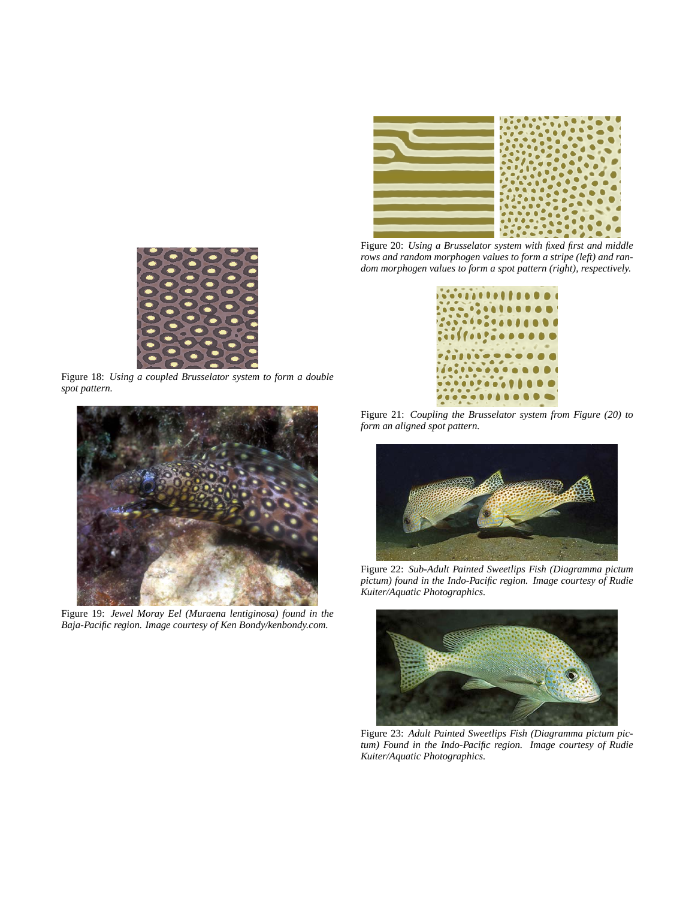

Figure 20: *Using a Brusselator system with fixed first and middle rows and random morphogen values to form a stripe (left) and random morphogen values to form a spot pattern (right), respectively.*



Figure 21: *Coupling the Brusselator system from Figure (20) to form an aligned spot pattern.*



Figure 22: *Sub-Adult Painted Sweetlips Fish (Diagramma pictum pictum) found in the Indo-Pacific region. Image courtesy of Rudie Kuiter/Aquatic Photographics.*



Figure 23: *Adult Painted Sweetlips Fish (Diagramma pictum pictum) Found in the Indo-Pacific region. Image courtesy of Rudie Kuiter/Aquatic Photographics.*



Figure 18: *Using a coupled Brusselator system to form a double spot pattern.*



Figure 19: *Jewel Moray Eel (Muraena lentiginosa) found in the Baja-Pacific region. Image courtesy of Ken Bondy/kenbondy.com.*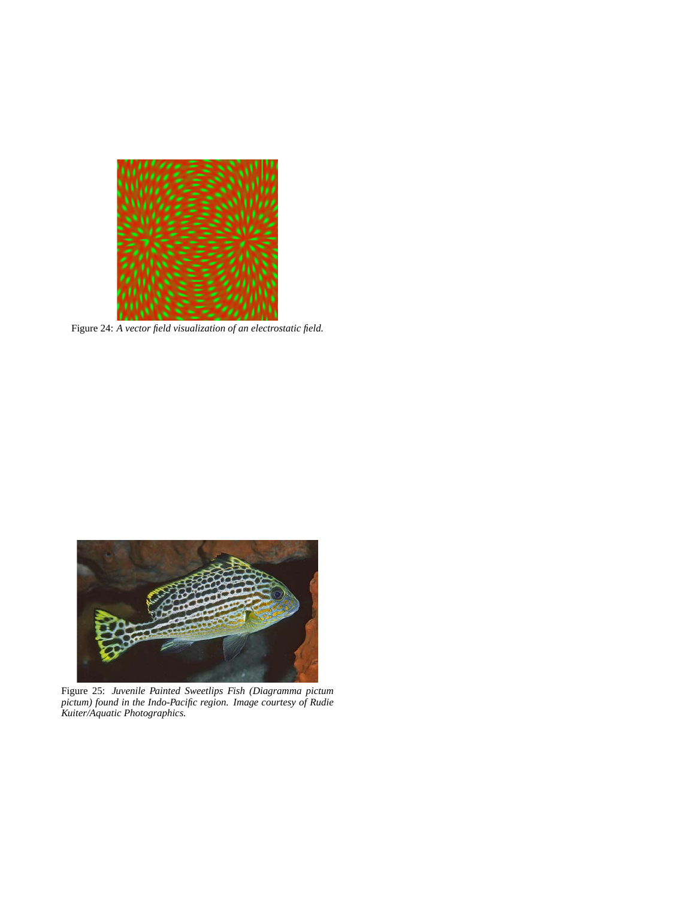

Figure 24: *A vector field visualization of an electrostatic field.*



Figure 25: *Juvenile Painted Sweetlips Fish (Diagramma pictum pictum) found in the Indo-Pacific region. Image courtesy of Rudie Kuiter/Aquatic Photographics.*